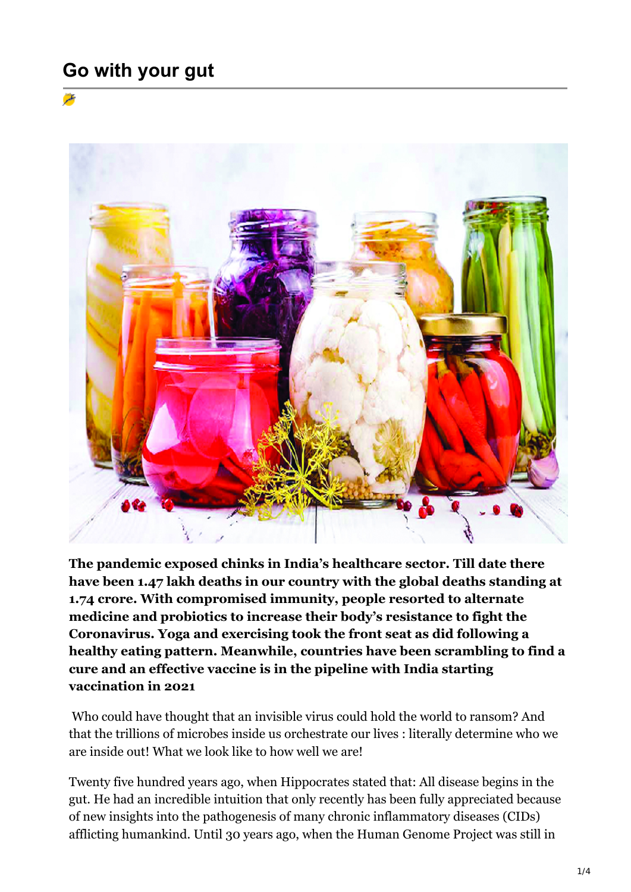## **Go with your gut**



**The pandemic exposed chinks in India's healthcare sector. Till date there have been 1.47 lakh deaths in our country with the global deaths standing at 1.74 crore. With compromised immunity, people resorted to alternate medicine and probiotics to increase their body's resistance to fight the Coronavirus. Yoga and exercising took the front seat as did following a healthy eating pattern. Meanwhile, countries have been scrambling to find a cure and an effective vaccine is in the pipeline with India starting vaccination in 2021**

 Who could have thought that an invisible virus could hold the world to ransom? And that the trillions of microbes inside us orchestrate our lives : literally determine who we are inside out! What we look like to how well we are!

Twenty five hundred years ago, when Hippocrates stated that: All disease begins in the gut. He had an incredible intuition that only recently has been fully appreciated because of new insights into the pathogenesis of many chronic inflammatory diseases (CIDs) afflicting humankind. Until 30 years ago, when the Human Genome Project was still in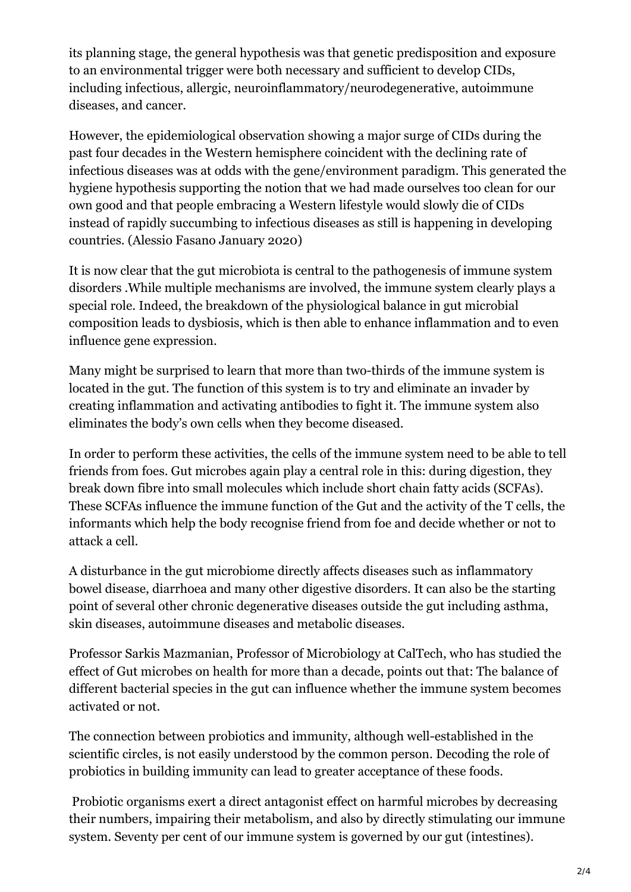its planning stage, the general hypothesis was that genetic predisposition and exposure to an environmental trigger were both necessary and sufficient to develop CIDs, including infectious, allergic, neuroinflammatory/neurodegenerative, autoimmune diseases, and cancer.

However, the epidemiological observation showing a major surge of CIDs during the past four decades in the Western hemisphere coincident with the declining rate of infectious diseases was at odds with the gene/environment paradigm. This generated the hygiene hypothesis supporting the notion that we had made ourselves too clean for our own good and that people embracing a Western lifestyle would slowly die of CIDs instead of rapidly succumbing to infectious diseases as still is happening in developing countries. (Alessio Fasano January 2020)

It is now clear that the gut microbiota is central to the pathogenesis of immune system disorders .While multiple mechanisms are involved, the immune system clearly plays a special role. Indeed, the breakdown of the physiological balance in gut microbial composition leads to dysbiosis, which is then able to enhance inflammation and to even influence gene expression.

Many might be surprised to learn that more than two-thirds of the immune system is located in the gut. The function of this system is to try and eliminate an invader by creating inflammation and activating antibodies to fight it. The immune system also eliminates the body's own cells when they become diseased.

In order to perform these activities, the cells of the immune system need to be able to tell friends from foes. Gut microbes again play a central role in this: during digestion, they break down fibre into small molecules which include short chain fatty acids (SCFAs). These SCFAs influence the immune function of the Gut and the activity of the T cells, the informants which help the body recognise friend from foe and decide whether or not to attack a cell.

A disturbance in the gut microbiome directly affects diseases such as inflammatory bowel disease, diarrhoea and many other digestive disorders. It can also be the starting point of several other chronic degenerative diseases outside the gut including asthma, skin diseases, autoimmune diseases and metabolic diseases.

Professor Sarkis Mazmanian, Professor of Microbiology at CalTech, who has studied the effect of Gut microbes on health for more than a decade, points out that: The balance of different bacterial species in the gut can influence whether the immune system becomes activated or not.

The connection between probiotics and immunity, although well-established in the scientific circles, is not easily understood by the common person. Decoding the role of probiotics in building immunity can lead to greater acceptance of these foods.

 Probiotic organisms exert a direct antagonist effect on harmful microbes by decreasing their numbers, impairing their metabolism, and also by directly stimulating our immune system. Seventy per cent of our immune system is governed by our gut (intestines).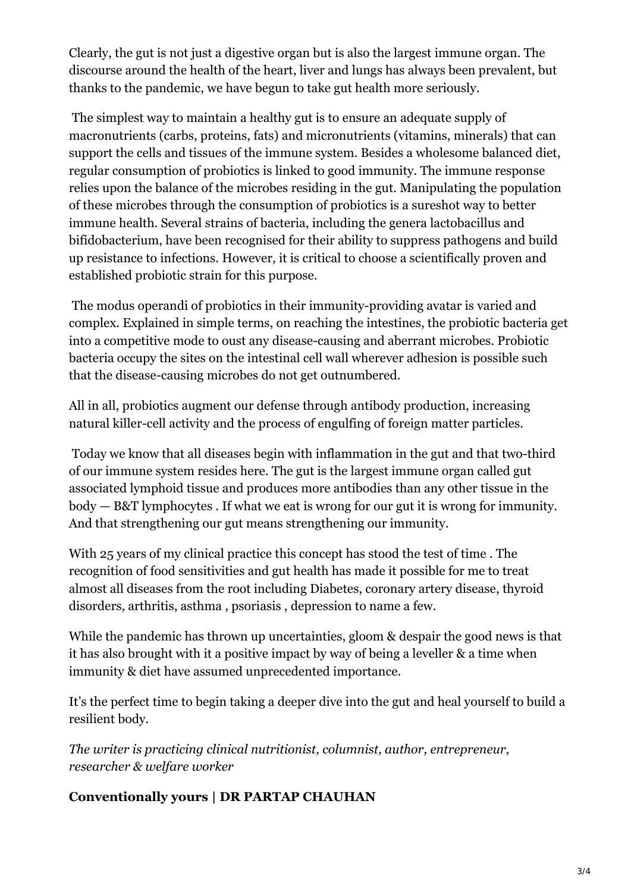Clearly, the gut is not just a digestive organ but is also the largest immune organ. The discourse around the health of the heart, liver and lungs has always been prevalent, but thanks to the pandemic, we have begun to take gut health more seriously.

 The simplest way to maintain a healthy gut is to ensure an adequate supply of macronutrients (carbs, proteins, fats) and micronutrients (vitamins, minerals) that can support the cells and tissues of the immune system. Besides a wholesome balanced diet, regular consumption of probiotics is linked to good immunity. The immune response relies upon the balance of the microbes residing in the gut. Manipulating the population of these microbes through the consumption of probiotics is a sureshot way to better immune health. Several strains of bacteria, including the genera lactobacillus and bifidobacterium, have been recognised for their ability to suppress pathogens and build up resistance to infections. However, it is critical to choose a scientifically proven and established probiotic strain for this purpose.

 The modus operandi of probiotics in their immunity-providing avatar is varied and complex. Explained in simple terms, on reaching the intestines, the probiotic bacteria get into a competitive mode to oust any disease-causing and aberrant microbes. Probiotic bacteria occupy the sites on the intestinal cell wall wherever adhesion is possible such that the disease-causing microbes do not get outnumbered.

All in all, probiotics augment our defense through antibody production, increasing natural killer-cell activity and the process of engulfing of foreign matter particles.

 Today we know that all diseases begin with inflammation in the gut and that two-third of our immune system resides here. The gut is the largest immune organ called gut associated lymphoid tissue and produces more antibodies than any other tissue in the body — B&T lymphocytes . If what we eat is wrong for our gut it is wrong for immunity. And that strengthening our gut means strengthening our immunity.

With 25 years of my clinical practice this concept has stood the test of time . The recognition of food sensitivities and gut health has made it possible for me to treat almost all diseases from the root including Diabetes, coronary artery disease, thyroid disorders, arthritis, asthma , psoriasis , depression to name a few.

While the pandemic has thrown up uncertainties, gloom & despair the good news is that it has also brought with it a positive impact by way of being a leveller & a time when immunity & diet have assumed unprecedented importance.

It's the perfect time to begin taking a deeper dive into the gut and heal yourself to build a resilient body.

*The writer is practicing clinical nutritionist, columnist, author, entrepreneur, researcher & welfare worker*

## **Conventionally yours | DR PARTAP CHAUHAN**